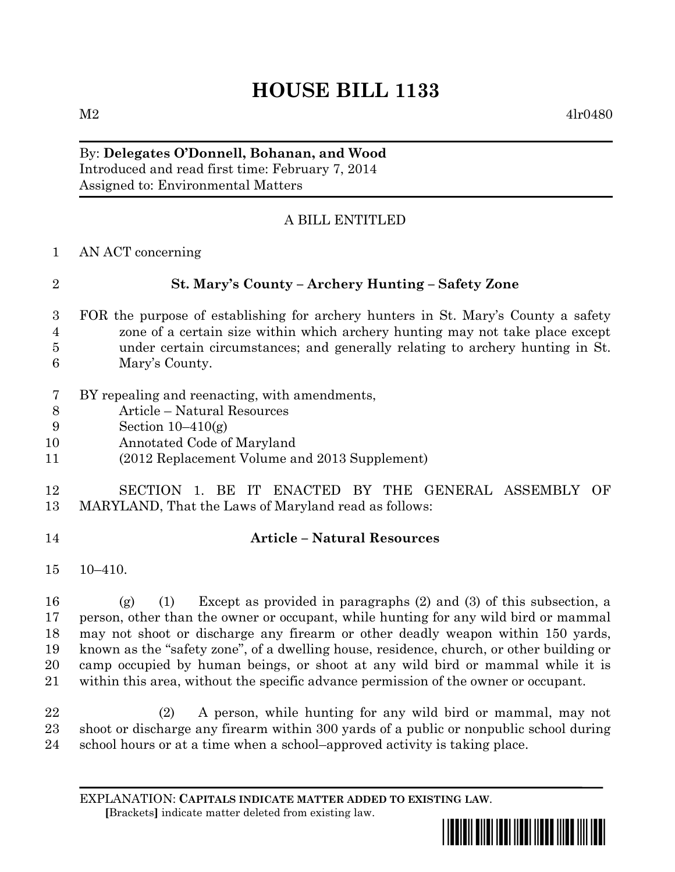# **HOUSE BILL 1133**

 $M2 \t4lr0480$ 

## By: **Delegates O'Donnell, Bohanan, and Wood**

Introduced and read first time: February 7, 2014 Assigned to: Environmental Matters

### A BILL ENTITLED

AN ACT concerning

#### **St. Mary's County – Archery Hunting – Safety Zone**

- FOR the purpose of establishing for archery hunters in St. Mary's County a safety zone of a certain size within which archery hunting may not take place except under certain circumstances; and generally relating to archery hunting in St. Mary's County.
- BY repealing and reenacting, with amendments,
- Article Natural Resources
- Section 10–410(g)
- Annotated Code of Maryland
- (2012 Replacement Volume and 2013 Supplement)

#### SECTION 1. BE IT ENACTED BY THE GENERAL ASSEMBLY OF MARYLAND, That the Laws of Maryland read as follows:

### **Article – Natural Resources**

10–410.

 (g) (1) Except as provided in paragraphs (2) and (3) of this subsection, a person, other than the owner or occupant, while hunting for any wild bird or mammal may not shoot or discharge any firearm or other deadly weapon within 150 yards, known as the "safety zone", of a dwelling house, residence, church, or other building or camp occupied by human beings, or shoot at any wild bird or mammal while it is within this area, without the specific advance permission of the owner or occupant.

 (2) A person, while hunting for any wild bird or mammal, may not shoot or discharge any firearm within 300 yards of a public or nonpublic school during school hours or at a time when a school–approved activity is taking place.

EXPLANATION: **CAPITALS INDICATE MATTER ADDED TO EXISTING LAW**.  **[**Brackets**]** indicate matter deleted from existing law.